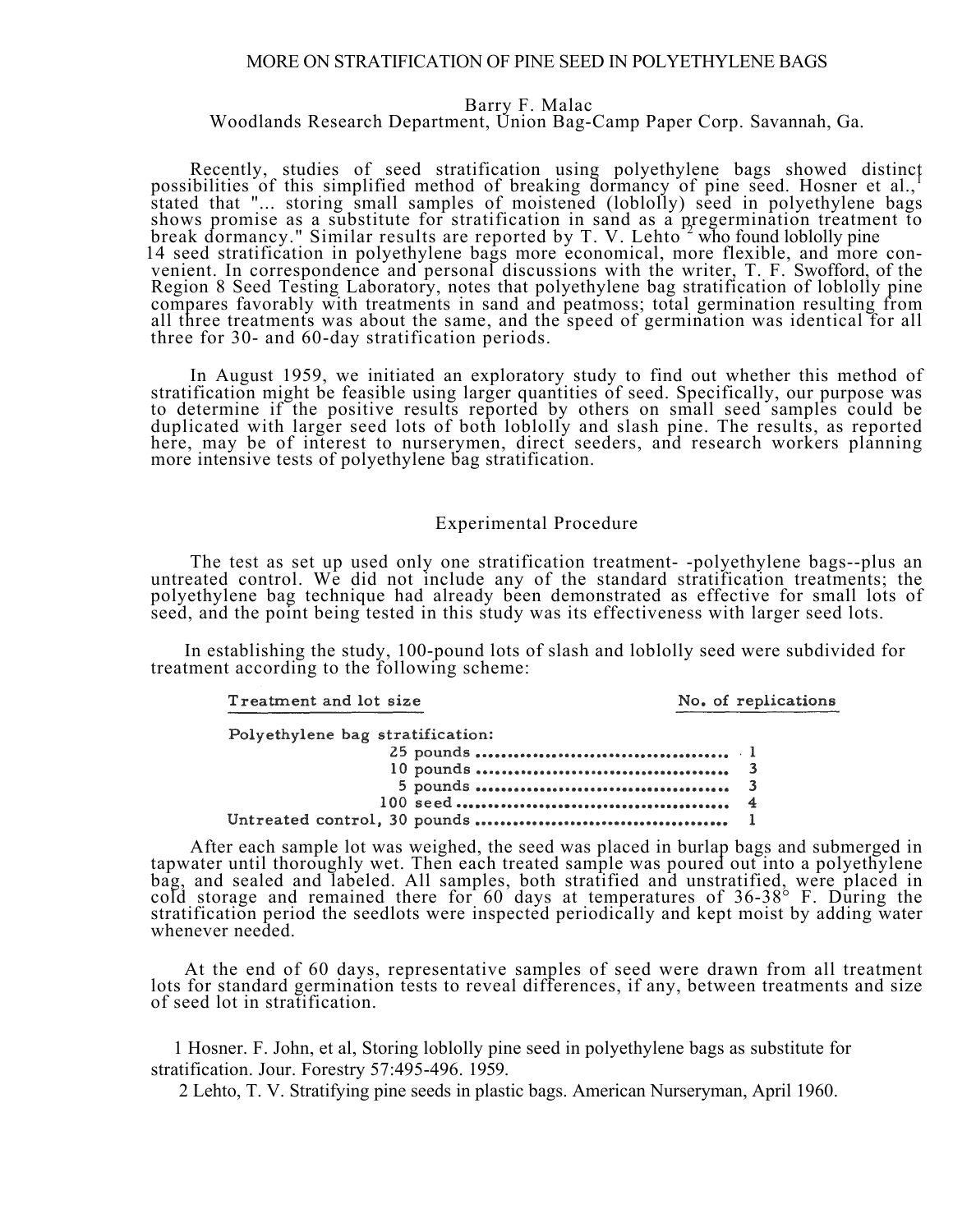## MORE ON STRATIFICATION OF PINE SEED IN POLYETHYLENE BAGS

## Barry F. Malac

# Woodlands Research Department, Union Bag-Camp Paper Corp. Savannah, Ga.

Recently, studies of seed stratification using polyethylene bags showed distinct possibilities of this simplified method of breaking dormancy of pine seed. Hosner et al., stated that "... storing small samples of moistened (loblolly) seed in polyethylene bags shows promise as a substitute for stratification in sand as a pregermination treatment to break dormancy." Similar results are reported by T. V. Lehto<sup>2</sup> who found loblolly pine 14 seed stratification in polyethylene bags more economical, more flexible, and more convenient. In correspondence and personal discussions with the writer, T. F. Swofford, of the Region 8 Seed Testing Laboratory, notes that polyethylene bag stratification of loblolly pine compares favorably with treatments in sand and peatmoss; total germination resulting from all three treatments was about the same, and the speed of germination was identical for all three for 30- and 60-day stratification periods.

In August 1959, we initiated an exploratory study to find out whether this method of stratification might be feasible using larger quantities of seed. Specifically, our purpose was to determine if the positive results reported by others on small seed samples could be duplicated with larger seed lots of both loblolly and slash pine. The results, as reported here, may be of interest to nurserymen, direct seeders, and research workers planning here, may be of interest to nurserymen, direct seeders, and research workers planning more intensive tests of polyethylene bag stratification.

## Experimental Procedure

The test as set up used only one stratification treatment- -polyethylene bags--plus an untreated control. We did not include any of the standard stratification treatments; the polyethylene bag technique had already been demonstrated as effective for small lots of seed, and the point being tested in this study was its effectiveness with larger seed lots.

In establishing the study, 100-pound lots of slash and loblolly seed were subdivided for treatment according to the following scheme:

Treatment and lot size

#### No. of replications

| Polyethylene bag stratification: |  |
|----------------------------------|--|
|                                  |  |
|                                  |  |
|                                  |  |
|                                  |  |
|                                  |  |

After each sample lot was weighed, the seed was placed in burlap bags and submerged in tapwater until thoroughly wet. Then each treated sample was poured out into a polyethylene bag, and sealed and labeled. All samples, both stratified and unstratified, were placed in cold storage and remained there for 60 days at temperatures of 36-38° F. During the stratification period the seedlots were inspected periodically and kept moist by adding water whenever needed.

At the end of 60 days, representative samples of seed were drawn from all treatment lots for standard germination tests to reveal differences, if any, between treatments and size of seed lot in stratification.

1 Hosner. F. John, et al, Storing loblolly pine seed in polyethylene bags as substitute for stratification. Jour. Forestry 57:495-496. 1959.

2 Lehto, T. V. Stratifying pine seeds in plastic bags. American Nurseryman, April 1960.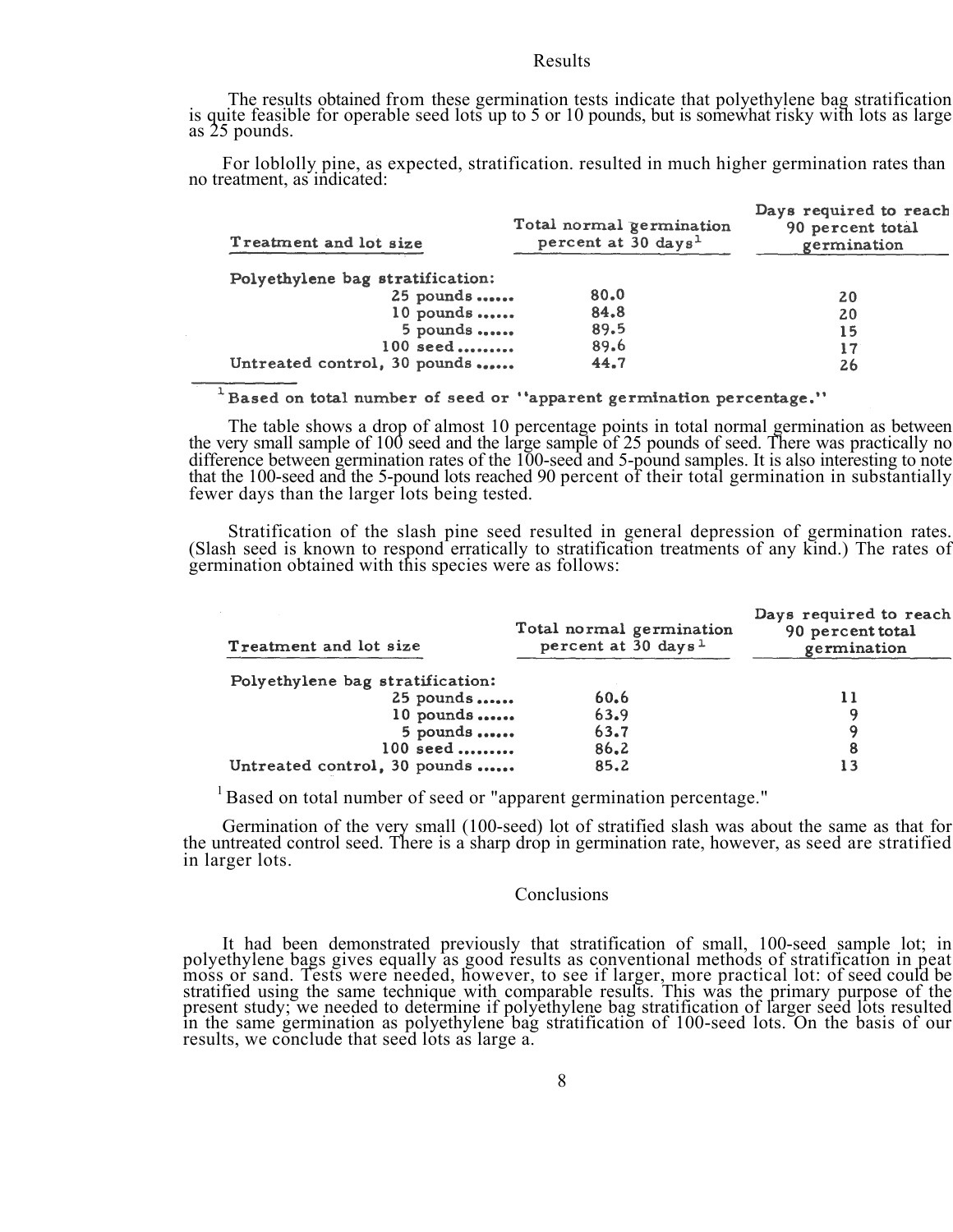## Results

The results obtained from these germination tests indicate that polyethylene bag stratification is quite feasible for operable seed lots up to 5 or 10 pounds, but is somewhat risky with lots as large as 25 pounds.

For loblolly pine, as expected, stratification. resulted in much higher germination rates than no treatment, as indicated:

| Total normal germination<br>percent at 30 days <sup>1</sup> | Days required to reach<br>90 percent total<br>germination |
|-------------------------------------------------------------|-----------------------------------------------------------|
|                                                             |                                                           |
| $25$ pounds<br>80.0                                         | 20                                                        |
| $10$ pounds<br>84.8                                         | 20                                                        |
| $5$ pounds<br>89.5                                          | 15                                                        |
| 89.6<br>100 seed                                            | 17                                                        |
| Untreated control, 30 pounds<br>44.7                        | 26                                                        |
|                                                             |                                                           |

<sup>1</sup>Based on total number of seed or "apparent germination percentage."

The table shows a drop of almost 10 percentage points in total normal germination as between the very small sample of 100 seed and the large sample of 25 pounds of seed. There was practically no difference between germination rates of the 100-seed and 5-pound samples. It is also interesting to note<br>that the 100-seed and the 5-pound lots reached 90 percent of their total germination in substantially<br>fewer days than

Stratification of the slash pine seed resulted in general depression of germination rates. (Slash seed is known to respond erratically to stratification treatments of any kind.) The rates of germination obtained with this species were as follows:

| Treatment and lot size           | Total normal germination<br>percent at 30 days <sup>1</sup> | Days required to reach<br>90 percent total<br>germination |
|----------------------------------|-------------------------------------------------------------|-----------------------------------------------------------|
| Polyethylene bag stratification: |                                                             |                                                           |
| 25 pounds                        | 60.6                                                        |                                                           |
| $10$ pounds                      | 63.9                                                        |                                                           |
| $5$ pounds                       | 63.7                                                        |                                                           |
| 100 seed                         | 86.2                                                        |                                                           |
| Untreated control, 30 pounds     | 85.2                                                        |                                                           |

<sup>1</sup> Based on total number of seed or "apparent germination percentage."

Germination of the very small (100-seed) lot of stratified slash was about the same as that for the untreated control seed. There is a sharp drop in germination rate, however, as seed are stratified in larger lots.

## **Conclusions**

It had been demonstrated previously that stratification of small, 100-seed sample lot; in polyethylene bags gives equally as good results as conventional methods of stratification in peat moss or sand. Tests were needed, however, to see if larger, more practical lot: of seed could be stratified using the same technique with comparable results. This was the primary purpose of the present study; we needed to determine if polyethylene bag stratification of larger seed lots resulted in the same germination as polyethylene bag stratification of 100-seed lots. On the basis of our results, we conclude that seed lots as large a.